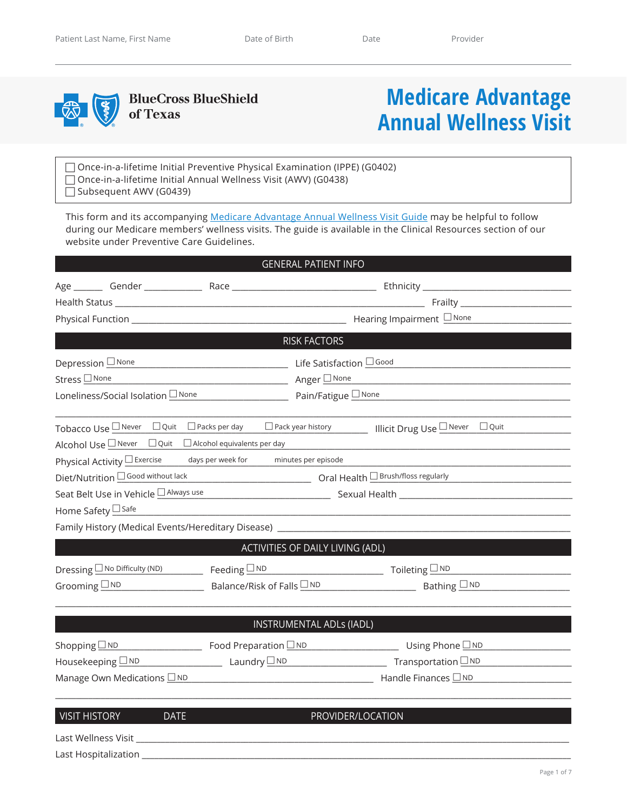

**BlueCross BlueShield** of Texas

## **Medicare Advantage Annual Wellness Visit**

□ Once-in-a-lifetime Initial Preventive Physical Examination (IPPE) (G0402) Once-in-a-lifetime Initial Annual Wellness Visit (AWV) (G0438) Subsequent AWV (G0439)

This form and its accompanying [Medicare Advantage Annual Wellness Visit Guide](https://www.bcbstx.com/provider/clinical/tx_preventivecare.html) may be helpful to follow during our Medicare members' wellness visits. The guide is available in the Clinical Resources section of our website under Preventive Care Guidelines.

|                                                                                  |  | <b>GENERAL PATIENT INFO</b>           |                                                                                                                |  |  |
|----------------------------------------------------------------------------------|--|---------------------------------------|----------------------------------------------------------------------------------------------------------------|--|--|
|                                                                                  |  |                                       |                                                                                                                |  |  |
|                                                                                  |  |                                       |                                                                                                                |  |  |
|                                                                                  |  |                                       |                                                                                                                |  |  |
|                                                                                  |  | <b>RISK FACTORS</b>                   | and the state of the state of the state of the state of the state of the state of the state of the state of th |  |  |
| Depression <b>None</b>                                                           |  | Life Satisfaction I Good              |                                                                                                                |  |  |
| Stress □ None                                                                    |  | <u> Anger □None</u>                   |                                                                                                                |  |  |
| Loneliness/Social Isolation None<br>$Pair/Fatingue \nightharpoonup None$         |  |                                       |                                                                                                                |  |  |
|                                                                                  |  |                                       | Tobacco Use I Never □ Quit □ Packs per day □ Pack year history Illicit Drug Use I Never □ Quit                 |  |  |
| Alcohol Use $\square$ Never $\square$ Quit $\square$ Alcohol equivalents per day |  |                                       |                                                                                                                |  |  |
| Physical Activity $\square$ Exercise                                             |  | days per week for minutes per episode |                                                                                                                |  |  |
| Diet/Nutrition OGood without lack                                                |  |                                       | Dral Health DBrush/floss regularly                                                                             |  |  |
| Seat Belt Use in Vehicle □ Always use                                            |  |                                       |                                                                                                                |  |  |
| Home Safety □ Safe                                                               |  |                                       |                                                                                                                |  |  |
|                                                                                  |  |                                       | Family History (Medical Events/Hereditary Disease) ______________________________                              |  |  |
|                                                                                  |  | ACTIVITIES OF DAILY LIVING (ADL)      |                                                                                                                |  |  |
|                                                                                  |  |                                       | Dressing $\Box$ No Difficulty (ND) Feeding $\Box$ ND Toileting $\Box$ ND Toileting $\Box$ ND                   |  |  |
| Grooming $\square$ ND $\square$                                                  |  |                                       | Balance/Risk of Falls $\Box$ ND Bathing $\Box$ ND                                                              |  |  |
|                                                                                  |  | <b>INSTRUMENTAL ADLs (IADL)</b>       |                                                                                                                |  |  |
| Shopping $\Box$ ND                                                               |  |                                       |                                                                                                                |  |  |
| Housekeeping $\Box$ ND Laundry $\Box$ ND                                         |  |                                       | $Transportation \n\underline{\square ND}$                                                                      |  |  |
| Manage Own Medications <b>ND</b>                                                 |  |                                       |                                                                                                                |  |  |
|                                                                                  |  |                                       |                                                                                                                |  |  |
| <b>VISIT HISTORY</b><br><b>DATE</b>                                              |  |                                       | PROVIDER/LOCATION                                                                                              |  |  |

Last Wellness Visit \_\_\_\_\_\_\_\_\_\_\_\_\_\_\_\_\_\_\_\_\_\_\_\_\_\_\_\_\_\_\_\_\_\_\_\_\_\_\_\_\_\_\_\_\_\_\_\_\_\_\_\_\_\_\_\_\_\_\_\_\_\_\_\_\_\_\_\_\_\_\_\_\_\_\_\_\_\_\_\_\_\_\_\_\_\_\_\_\_\_\_\_\_\_\_\_\_\_\_\_\_\_\_\_

Last Hospitalization \_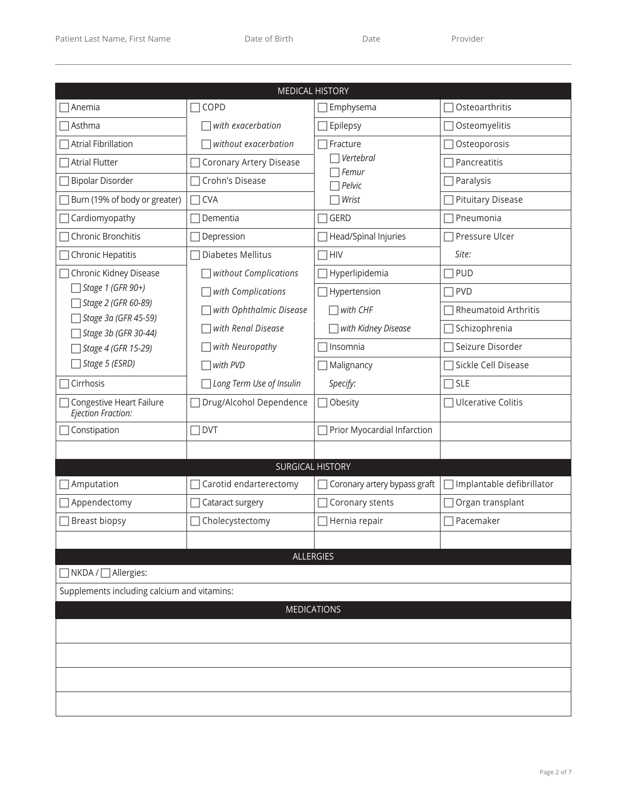|                                                  | <b>MEDICAL HISTORY</b>   |                              |                             |
|--------------------------------------------------|--------------------------|------------------------------|-----------------------------|
| $\sqsupset$ Anemia                               | COPD                     | Emphysema                    | Osteoarthritis              |
| $\sqcap$ Asthma                                  | with exacerbation        | Epilepsy                     | Osteomyelitis               |
| $\Box$ Atrial Fibrillation                       | without exacerbation     | Fracture                     | Osteoporosis                |
| <b>Atrial Flutter</b>                            | Coronary Artery Disease  | $\top$ Vertebral             | Pancreatitis                |
| □ Bipolar Disorder                               | Crohn's Disease          | Femur                        | Paralysis                   |
| Burn (19% of body or greater)                    | <b>CVA</b>               | $\top$ Pelvic<br>Wrist       | <b>Pituitary Disease</b>    |
| $\Box$ Cardiomyopathy                            | Dementia                 | <b>GERD</b>                  | Pneumonia                   |
| Chronic Bronchitis                               |                          |                              | Pressure Ulcer              |
|                                                  | Depression               | Head/Spinal Injuries         |                             |
| $\Box$ Chronic Hepatitis                         | Diabetes Mellitus        | <b>HIV</b>                   | Site:                       |
| Chronic Kidney Disease<br>Stage 1 (GFR 90+)      | without Complications    | Hyperlipidemia               | PUD                         |
| Stage 2 (GFR 60-89)                              | with Complications       | Hypertension                 | $\Box$ PVD                  |
| □ Stage 3a (GFR 45-59)                           | with Ophthalmic Disease  | with CHF                     | <b>Rheumatoid Arthritis</b> |
| Stage 3b (GFR 30-44)                             | with Renal Disease       | with Kidney Disease          | $\Box$ Schizophrenia        |
| Stage 4 (GFR 15-29)                              | with Neuropathy          | Insomnia                     | Seizure Disorder            |
| Stage 5 (ESRD)                                   | with PVD                 | Malignancy                   | Sickle Cell Disease         |
| Cirrhosis                                        | Long Term Use of Insulin | Specify:                     | $\Box$ SLE                  |
| □ Congestive Heart Failure<br>Ejection Fraction: | Drug/Alcohol Dependence  | Obesity                      | □ Ulcerative Colitis        |
| $\Box$ Constipation                              | <b>DVT</b>               | Prior Myocardial Infarction  |                             |
|                                                  |                          |                              |                             |
|                                                  | <b>SURGICAL HISTORY</b>  |                              |                             |
| $\Box$ Amputation                                | Carotid endarterectomy   | Coronary artery bypass graft | □ Implantable defibrillator |
| $\Box$ Appendectomy                              | Cataract surgery         | Coronary stents              | Organ transplant            |
| □ Breast biopsy                                  | Cholecystectomy          | Hernia repair                | Pacemaker                   |
|                                                  |                          |                              |                             |
|                                                  | <b>ALLERGIES</b>         |                              |                             |
| $\Box$ NKDA / $\Box$ Allergies:                  |                          |                              |                             |
| Supplements including calcium and vitamins:      |                          |                              |                             |
|                                                  | <b>MEDICATIONS</b>       |                              |                             |
|                                                  |                          |                              |                             |
|                                                  |                          |                              |                             |
|                                                  |                          |                              |                             |
|                                                  |                          |                              |                             |
|                                                  |                          |                              |                             |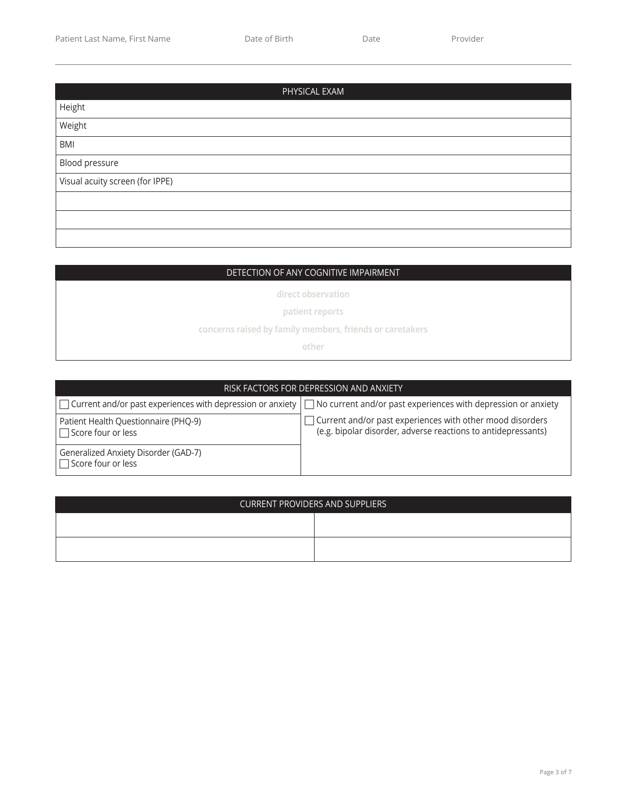| PHYSICAL EXAM                   |
|---------------------------------|
| Height                          |
| Weight                          |
| <b>BMI</b>                      |
| Blood pressure                  |
| Visual acuity screen (for IPPE) |
|                                 |
|                                 |
|                                 |

## DETECTION OF ANY COGNITIVE IMPAIRMENT

**direct observation**

**patient reports**

**concerns raised by family members, friends or caretakers**

**other**

| RISK FACTORS FOR DEPRESSION AND ANXIETY                           |                                                                                                                                        |  |  |  |  |
|-------------------------------------------------------------------|----------------------------------------------------------------------------------------------------------------------------------------|--|--|--|--|
|                                                                   | $\Box$ Current and/or past experiences with depression or anxiety $\Box$ No current and/or past experiences with depression or anxiety |  |  |  |  |
| Patient Health Questionnaire (PHQ-9)<br>$\Box$ Score four or less | $\Box$ Current and/or past experiences with other mood disorders<br>(e.g. bipolar disorder, adverse reactions to antidepressants)      |  |  |  |  |
| Generalized Anxiety Disorder (GAD-7)<br>$\Box$ Score four or less |                                                                                                                                        |  |  |  |  |

| <b>CURRENT PROVIDERS AND SUPPLIERS</b> |  |  |  |  |  |
|----------------------------------------|--|--|--|--|--|
|                                        |  |  |  |  |  |
|                                        |  |  |  |  |  |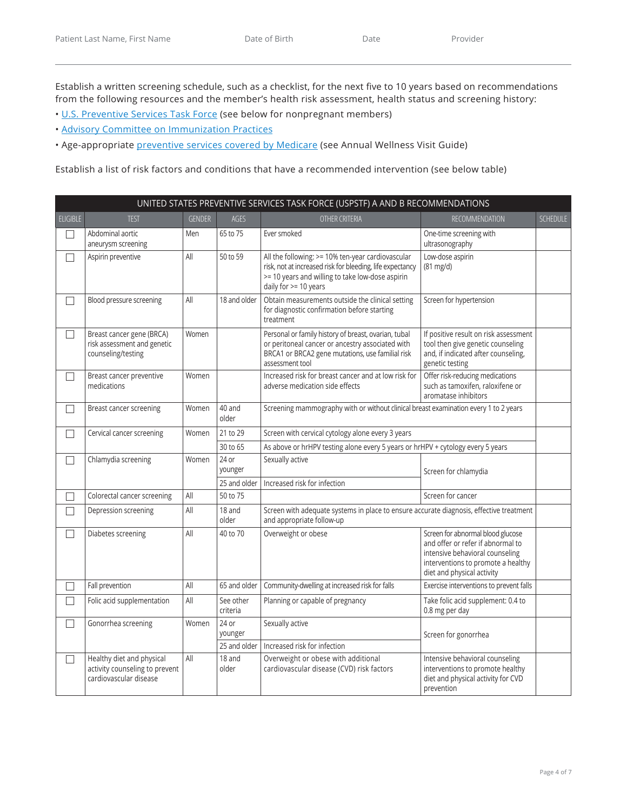Establish a written screening schedule, such as a checklist, for the next five to 10 years based on recommendations from the following resources and the member's health risk assessment, health status and screening history:

- • [U.S. Preventive Services Task Force \(](https://www.uspreventiveservicestaskforce.org/Page/Name/uspstf-a-and-b-recommendations/)see below for nonpregnant members)
- • [Advisory Committee on Immunization Practices](https://www.cdc.gov/vaccines/schedules/hcp/imz/adult.html#table-age)
- Age-appropriate [preventive services covered by Medicare](https://www.cms.gov/Medicare/Prevention/PrevntionGenInfo/medicare-preventive-services/MPS-QuickReferenceChart-1.html) (see Annual Wellness Visit Guide)

Establish a list of risk factors and conditions that have a recommended intervention (see below table)

| UNITED STATES PREVENTIVE SERVICES TASK FORCE (USPSTF) A AND B RECOMMENDATIONS |                                                                                       |               |                       |                                                                                                                                                                                             |                                                                                                                                                                               |                 |
|-------------------------------------------------------------------------------|---------------------------------------------------------------------------------------|---------------|-----------------------|---------------------------------------------------------------------------------------------------------------------------------------------------------------------------------------------|-------------------------------------------------------------------------------------------------------------------------------------------------------------------------------|-----------------|
| <b>ELIGIBLE</b>                                                               | <b>TEST</b>                                                                           | <b>GENDER</b> | <b>AGES</b>           | OTHER CRITERIA                                                                                                                                                                              | <b>RECOMMENDATION</b>                                                                                                                                                         | <b>SCHEDULE</b> |
| $\Box$                                                                        | Abdominal aortic<br>aneurysm screening                                                | Men           | 65 to 75              | Ever smoked                                                                                                                                                                                 | One-time screening with<br>ultrasonography                                                                                                                                    |                 |
| П                                                                             | Aspirin preventive                                                                    | All           | 50 to 59              | All the following: >= 10% ten-year cardiovascular<br>risk, not at increased risk for bleeding, life expectancy<br>>= 10 years and willing to take low-dose aspirin<br>daily for >= 10 years | Low-dose aspirin<br>$(81 \text{ mg/d})$                                                                                                                                       |                 |
| П                                                                             | Blood pressure screening                                                              | All           | 18 and older          | Obtain measurements outside the clinical setting<br>for diagnostic confirmation before starting<br>treatment                                                                                | Screen for hypertension                                                                                                                                                       |                 |
| $\Box$                                                                        | Breast cancer gene (BRCA)<br>risk assessment and genetic<br>counseling/testing        | Women         |                       | Personal or family history of breast, ovarian, tubal<br>or peritoneal cancer or ancestry associated with<br>BRCA1 or BRCA2 gene mutations, use familial risk<br>assessment tool             | If positive result on risk assessment<br>tool then give genetic counseling<br>and, if indicated after counseling,<br>genetic testing                                          |                 |
| $\Box$                                                                        | Breast cancer preventive<br>medications                                               | Women         |                       | Increased risk for breast cancer and at low risk for<br>adverse medication side effects                                                                                                     | Offer risk-reducing medications<br>such as tamoxifen, raloxifene or<br>aromatase inhibitors                                                                                   |                 |
| П                                                                             | Breast cancer screening                                                               | Women         | 40 and<br>older       | Screening mammography with or without clinical breast examination every 1 to 2 years                                                                                                        |                                                                                                                                                                               |                 |
| $\Box$                                                                        | Cervical cancer screening                                                             | Women         | 21 to 29              | Screen with cervical cytology alone every 3 years                                                                                                                                           |                                                                                                                                                                               |                 |
|                                                                               |                                                                                       |               | 30 to 65              | As above or hrHPV testing alone every 5 years or hrHPV + cytology every 5 years                                                                                                             |                                                                                                                                                                               |                 |
| П                                                                             | Chlamydia screening                                                                   | Women         | $24$ or<br>younger    | Sexually active                                                                                                                                                                             | Screen for chlamydia                                                                                                                                                          |                 |
|                                                                               |                                                                                       |               | 25 and older          | Increased risk for infection                                                                                                                                                                |                                                                                                                                                                               |                 |
| П                                                                             | Colorectal cancer screening                                                           | All           | 50 to 75              |                                                                                                                                                                                             | Screen for cancer                                                                                                                                                             |                 |
| $\Box$                                                                        | Depression screening                                                                  | All           | 18 and<br>older       | Screen with adequate systems in place to ensure accurate diagnosis, effective treatment<br>and appropriate follow-up                                                                        |                                                                                                                                                                               |                 |
| $\Box$                                                                        | Diabetes screening                                                                    | All           | 40 to 70              | Overweight or obese                                                                                                                                                                         | Screen for abnormal blood glucose<br>and offer or refer if abnormal to<br>intensive behavioral counseling<br>interventions to promote a healthy<br>diet and physical activity |                 |
| П                                                                             | Fall prevention                                                                       | All           | 65 and older          | Community-dwelling at increased risk for falls                                                                                                                                              | Exercise interventions to prevent falls                                                                                                                                       |                 |
| $\Box$                                                                        | Folic acid supplementation                                                            | All           | See other<br>criteria | Planning or capable of pregnancy                                                                                                                                                            | Take folic acid supplement: 0.4 to<br>0.8 mg per day                                                                                                                          |                 |
| П                                                                             | Gonorrhea screening                                                                   | Women         | 24 or<br>younger      | Sexually active<br>Screen for gonorrhea                                                                                                                                                     |                                                                                                                                                                               |                 |
|                                                                               |                                                                                       |               | 25 and older          | Increased risk for infection                                                                                                                                                                |                                                                                                                                                                               |                 |
| $\Box$                                                                        | Healthy diet and physical<br>activity counseling to prevent<br>cardiovascular disease | All           | 18 and<br>older       | Overweight or obese with additional<br>cardiovascular disease (CVD) risk factors                                                                                                            | Intensive behavioral counseling<br>interventions to promote healthy<br>diet and physical activity for CVD<br>prevention                                                       |                 |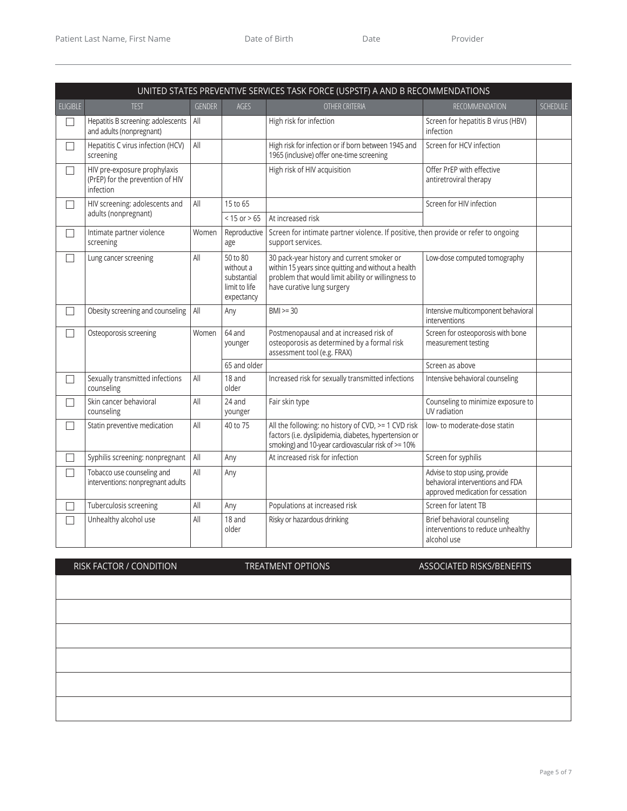|                   | UNITED STATES PREVENTIVE SERVICES TASK FORCE (USPSTF) A AND B RECOMMENDATIONS |               |                                                                     |                                                                                                                                                                                       |                                                                                                        |                 |
|-------------------|-------------------------------------------------------------------------------|---------------|---------------------------------------------------------------------|---------------------------------------------------------------------------------------------------------------------------------------------------------------------------------------|--------------------------------------------------------------------------------------------------------|-----------------|
| <b>ELIGIBLE</b>   | <b>TEST</b>                                                                   | <b>GENDER</b> | AGES                                                                | OTHER CRITERIA                                                                                                                                                                        | RECOMMENDATION                                                                                         | <b>SCHEDULE</b> |
| П                 | Hepatitis B screening: adolescents<br>and adults (nonpregnant)                | All           |                                                                     | High risk for infection                                                                                                                                                               | Screen for hepatitis B virus (HBV)<br>infection                                                        |                 |
| П                 | Hepatitis C virus infection (HCV)<br>screening                                | All           |                                                                     | High risk for infection or if born between 1945 and<br>1965 (inclusive) offer one-time screening                                                                                      | Screen for HCV infection                                                                               |                 |
| П                 | HIV pre-exposure prophylaxis<br>(PrEP) for the prevention of HIV<br>infection |               |                                                                     | High risk of HIV acquisition                                                                                                                                                          | Offer PrEP with effective<br>antiretroviral therapy                                                    |                 |
| $\vert \ \ \vert$ | HIV screening: adolescents and                                                | All           | 15 to 65                                                            |                                                                                                                                                                                       | Screen for HIV infection                                                                               |                 |
|                   | adults (nonpregnant)                                                          |               | $< 15$ or $> 65$                                                    | At increased risk                                                                                                                                                                     |                                                                                                        |                 |
| П                 | Intimate partner violence<br>screening                                        | Women         | Reproductive<br>age                                                 | Screen for intimate partner violence. If positive, then provide or refer to ongoing<br>support services.                                                                              |                                                                                                        |                 |
| П                 | Lung cancer screening                                                         | All           | 50 to 80<br>without a<br>substantial<br>limit to life<br>expectancy | 30 pack-year history and current smoker or<br>within 15 years since quitting and without a health<br>problem that would limit ability or willingness to<br>have curative lung surgery | Low-dose computed tomography                                                                           |                 |
| $\vert \ \ \vert$ | Obesity screening and counseling                                              | All           | Any                                                                 | $BM \ge 30$                                                                                                                                                                           | Intensive multicomponent behavioral<br>interventions                                                   |                 |
| П                 | Osteoporosis screening                                                        | Women         | 64 and<br>younger                                                   | Postmenopausal and at increased risk of<br>osteoporosis as determined by a formal risk<br>assessment tool (e.g. FRAX)                                                                 | Screen for osteoporosis with bone<br>measurement testing                                               |                 |
|                   |                                                                               |               | 65 and older                                                        |                                                                                                                                                                                       | Screen as above                                                                                        |                 |
| П                 | Sexually transmitted infections<br>counseling                                 | All           | 18 and<br>older                                                     | Increased risk for sexually transmitted infections                                                                                                                                    | Intensive behavioral counseling                                                                        |                 |
| П                 | Skin cancer behavioral<br>counseling                                          | All           | 24 and<br>younger                                                   | Fair skin type                                                                                                                                                                        | Counseling to minimize exposure to<br>UV radiation                                                     |                 |
| П                 | Statin preventive medication                                                  | All           | 40 to 75                                                            | All the following: no history of CVD, >= 1 CVD risk<br>factors (i.e. dyslipidemia, diabetes, hypertension or<br>smoking) and 10-year cardiovascular risk of >= 10%                    | low- to moderate-dose statin                                                                           |                 |
| П                 | Syphilis screening: nonpregnant                                               | All           | Any                                                                 | At increased risk for infection                                                                                                                                                       | Screen for syphilis                                                                                    |                 |
| $\Box$            | Tobacco use counseling and<br>interventions: nonpregnant adults               | All           | Any                                                                 |                                                                                                                                                                                       | Advise to stop using, provide<br>behavioral interventions and FDA<br>approved medication for cessation |                 |
|                   | Tuberculosis screening                                                        | All           | Any                                                                 | Populations at increased risk                                                                                                                                                         | Screen for latent TB                                                                                   |                 |
| П                 | Unhealthy alcohol use                                                         | All           | 18 and<br>older                                                     | Risky or hazardous drinking                                                                                                                                                           | Brief behavioral counseling<br>interventions to reduce unhealthy<br>alcohol use                        |                 |

RISK FACTOR / CONDITION TREATMENT OPTIONS ASSOCIATED RISKS/BENEFITS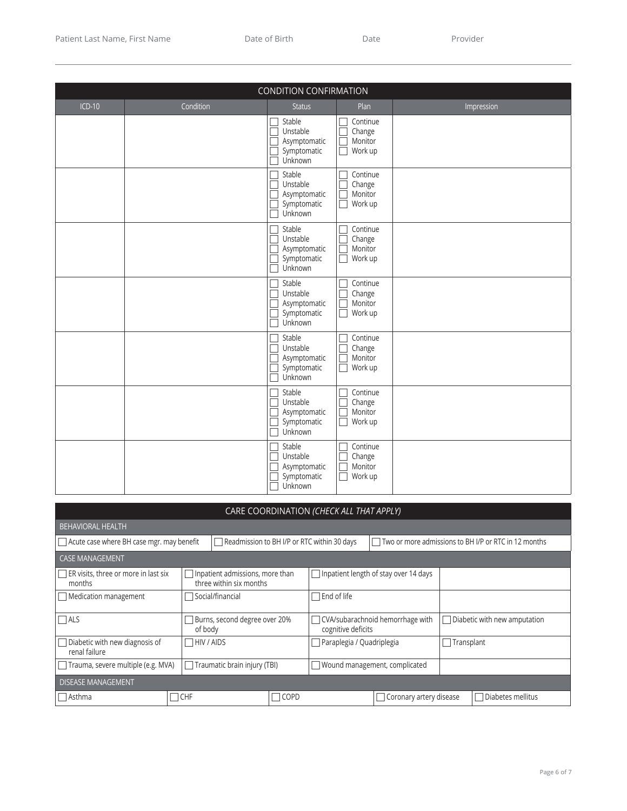| <b>CONDITION CONFIRMATION</b> |           |                                                                   |                                                         |            |  |  |  |
|-------------------------------|-----------|-------------------------------------------------------------------|---------------------------------------------------------|------------|--|--|--|
| $ICD-10$                      | Condition | <b>Status</b>                                                     | Plan                                                    | Impression |  |  |  |
|                               |           | Stable<br>Unstable<br>Г<br>Asymptomatic<br>Symptomatic<br>Unknown | Continue<br>Change<br>Г<br>Monitor<br>Г<br>Work up<br>Г |            |  |  |  |
|                               |           | Stable<br>Unstable<br>Asymptomatic<br>Symptomatic<br>Unknown      | Continue<br>Change<br>Г<br>Monitor<br>$\Box$<br>Work up |            |  |  |  |
|                               |           | Stable<br>Unstable<br>Asymptomatic<br>Symptomatic<br>Unknown<br>П | Continue<br>Change<br>Monitor<br>г<br>Work up<br>П      |            |  |  |  |
|                               |           | Stable<br>Unstable<br>Asymptomatic<br>Symptomatic<br>Unknown      | Continue<br>Change<br>Monitor<br>Г<br>Work up<br>Г      |            |  |  |  |
|                               |           | Stable<br>Unstable<br>Asymptomatic<br>Symptomatic<br>Unknown      | Continue<br>Change<br>Ē<br>Monitor<br>Work up<br>Г      |            |  |  |  |
|                               |           | Stable<br>Unstable<br>Asymptomatic<br>Symptomatic<br>Unknown      | Continue<br>Change<br>Monitor<br>Г<br>Work up           |            |  |  |  |
|                               |           | Stable<br>Г<br>Unstable<br>Asymptomatic<br>Symptomatic<br>Unknown | Continue<br>Change<br>Monitor<br>Work up<br>Г           |            |  |  |  |

| CARE COORDINATION (CHECK ALL THAT APPLY)                                                        |                                                                   |                               |                               |                                                      |                                                        |  |                                     |
|-------------------------------------------------------------------------------------------------|-------------------------------------------------------------------|-------------------------------|-------------------------------|------------------------------------------------------|--------------------------------------------------------|--|-------------------------------------|
| <b>BEHAVIORAL HEALTH</b>                                                                        |                                                                   |                               |                               |                                                      |                                                        |  |                                     |
| $\Box$ Acute case where BH case mgr. may benefit<br>Readmission to BH I/P or RTC within 30 days |                                                                   |                               |                               | Two or more admissions to BH I/P or RTC in 12 months |                                                        |  |                                     |
| <b>CASE MANAGEMENT</b>                                                                          |                                                                   |                               |                               |                                                      |                                                        |  |                                     |
| $\Box$ ER visits, three or more in last six<br>months                                           | $\Box$ Inpatient admissions, more than<br>three within six months |                               |                               |                                                      | $\Box$ Inpatient length of stay over 14 days           |  |                                     |
| Medication management                                                                           |                                                                   | $\Box$ Social/financial       |                               | $\sqcap$ End of life                                 |                                                        |  |                                     |
| $\Box$ als<br>of body                                                                           |                                                                   | Burns, second degree over 20% |                               |                                                      | CVA/subarachnoid hemorrhage with<br>cognitive deficits |  | $\Box$ Diabetic with new amputation |
| $\Box$ Diabetic with new diagnosis of<br>renal failure                                          | $\Box$ HIV / AIDS                                                 |                               | □ Paraplegia / Quadriplegia   |                                                      | $\Box$ Transplant                                      |  |                                     |
| Trauma, severe multiple (e.g. MVA)<br>Traumatic brain injury (TBI)<br>$\overline{\phantom{a}}$  |                                                                   |                               | Wound management, complicated |                                                      |                                                        |  |                                     |
| <b>DISEASE MANAGEMENT</b>                                                                       |                                                                   |                               |                               |                                                      |                                                        |  |                                     |
| $\sqcap$ Asthma                                                                                 | $\sqcap$ CHF<br>$\Box$ COPD                                       |                               |                               |                                                      | □ Coronary artery disease                              |  | $\Box$ Diabetes mellitus            |